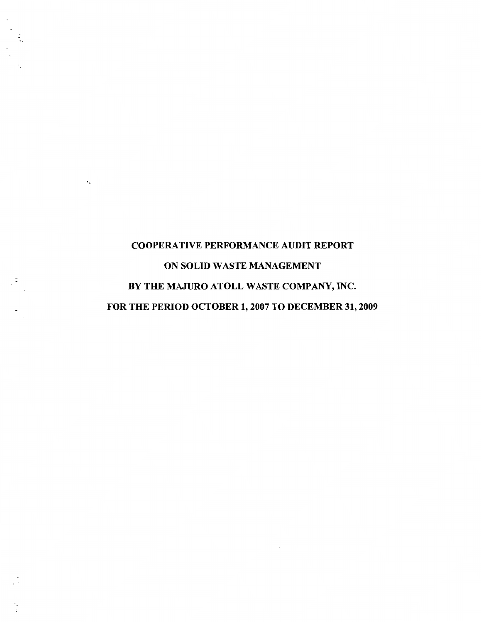# COOPERATIVE PERFORMANCE AUDIT REPORT ON SOLID WASTE MANAGEMENT BY THE MAJURO ATOLL WASTE COMPANY, INC. FOR THE PERIOD OCTOBER 1, 2007 TO DECEMBER 31, 2009

٠.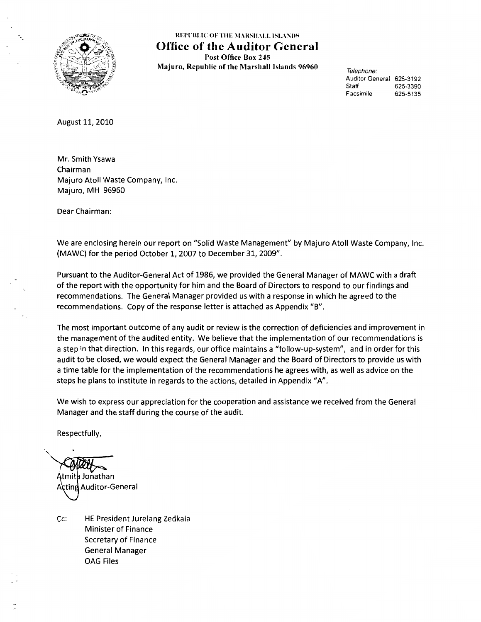

REPUBLIC OF THE MARSHALL ISLANDS **Office of the Auditor General**  Post Office Box 245 Majuro, Republic of the Marshall Islands 96960

Telephone: Auditor General 625-3192 Staff 625-3390 Facsimile 625-5135

August 11, 2010

Mr. Smith Ysawa Chairman Majuro Atoll Waste Company, Inc. Majuro, MH 96960

Dear Chairman:

We are enclosing herein our report on "Solid Waste Management" by Majuro Atoll Waste Company, Inc. (MAWC) for the period October 1, 2007 to December 31, 2009".

Pursuant to the Auditor-General Act of 1986, we provided the General Manager of MAWC with a draft of the report with the opportunity for him and the Board of Directors to respond to our findings and recommendations. The General Manager provided us with a response in which he agreed to the recommendations. Copy of the response letter is attached as Appendix "B".

The most important outcome of any audit or review is the correction of deficiencies and improvement in the management of the audited entity. We believe that the implementation of our recommendations is a step in that direction. In this regards, our office maintains a "follow-up-system", and in order for this audit to be closed, we would expect the General Manager and the Board of Directors to provide us with a time table for the implementation of the recommendations he agrees with, as well as advice on the steps he plans to institute in regards to the actions, detailed in Appendix "A".

We wish to express our appreciation for the cooperation and assistance we received from the General Manager and the staff during the course of the audit.

Respectfully,

·,\_ tmith Jonathan. Acting Auditor-General

Cc: HE President Jurelang Zedkaia Minister of Finance Secretary of Finance General Manager OAG Files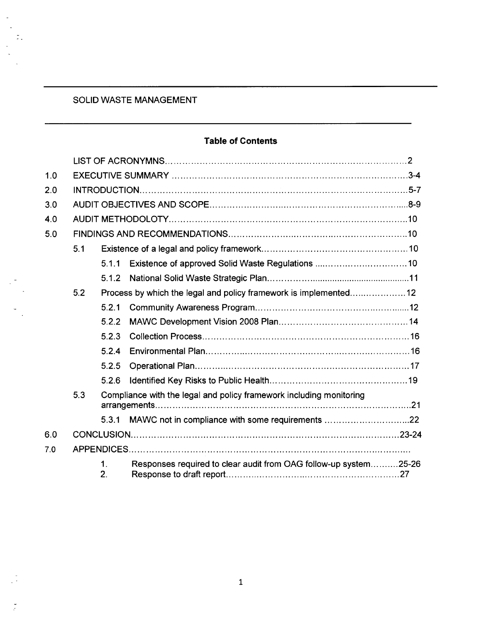## SOLID WASTE MANAGEMENT

÷.

 $\ddot{\cdot}$ 

## **Table of Contents**

| 1.0 |     |          |                                                                     |  |
|-----|-----|----------|---------------------------------------------------------------------|--|
| 2.0 |     |          |                                                                     |  |
| 3.0 |     |          |                                                                     |  |
| 4.0 |     |          |                                                                     |  |
| 5.0 |     |          |                                                                     |  |
|     | 5.1 |          |                                                                     |  |
|     |     | 5.1.1    |                                                                     |  |
|     |     | 5.1.2    |                                                                     |  |
|     | 5.2 |          | Process by which the legal and policy framework is implemented12    |  |
|     |     | 5.2.1    |                                                                     |  |
|     |     | 5.2.2    |                                                                     |  |
|     |     | 5.2.3    |                                                                     |  |
|     |     | 5.2.4    |                                                                     |  |
|     |     | 5.2.5    |                                                                     |  |
|     |     | 5.2.6    |                                                                     |  |
|     | 5.3 |          | Compliance with the legal and policy framework including monitoring |  |
|     |     | 5.3.1    | MAWC not in compliance with some requirements 22                    |  |
| 6.0 |     |          |                                                                     |  |
| 7.0 |     |          |                                                                     |  |
|     |     | 1.<br>2. | Responses required to clear audit from OAG follow-up system25-26    |  |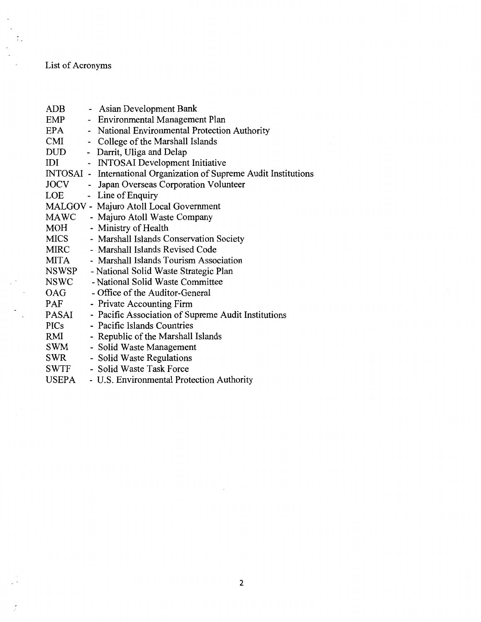## List of Acronyms

 $\frac{1}{\sqrt{2}}$ 

 $\tilde{\cdot}$ 

| $\rm{ADB}$   | Asian Development Bank<br>$\overline{\phantom{a}}$       |
|--------------|----------------------------------------------------------|
| <b>EMP</b>   | <b>Environmental Management Plan</b>                     |
| EPA          | National Environmental Protection Authority              |
| CMI          | College of the Marshall Islands                          |
| <b>DUD</b>   | - Darrit, Uliga and Delap                                |
| IDI          | <b>INTOSAI</b> Development Initiative                    |
| INTOSAI-     | International Organization of Supreme Audit Institutions |
| <b>JOCV</b>  | Japan Overseas Corporation Volunteer<br>$\blacksquare$   |
| LOE          | Line of Enquiry                                          |
|              | MALGOV - Majuro Atoll Local Government                   |
| <b>MAWC</b>  | - Majuro Atoll Waste Company                             |
| MOH          | - Ministry of Health                                     |
| <b>MICS</b>  | - Marshall Islands Conservation Society                  |
| <b>MIRC</b>  | - Marshall Islands Revised Code                          |
| <b>MITA</b>  | - Marshall Islands Tourism Association                   |
| <b>NSWSP</b> | - National Solid Waste Strategic Plan                    |
| <b>NSWC</b>  | - National Solid Waste Committee                         |
| OAG          | - Office of the Auditor-General                          |
| <b>PAF</b>   | - Private Accounting Firm                                |
| PASAI        | - Pacific Association of Supreme Audit Institutions      |
| <b>PICs</b>  | - Pacific Islands Countries                              |
| RMI          | - Republic of the Marshall Islands                       |
| SWM          | - Solid Waste Management                                 |
| <b>SWR</b>   | - Solid Waste Regulations                                |
| <b>SWTF</b>  | - Solid Waste Task Force                                 |
| <b>USEPA</b> | - U.S. Environmental Protection Authority                |
|              |                                                          |

 $\mathcal{L}_{\mathcal{A}}$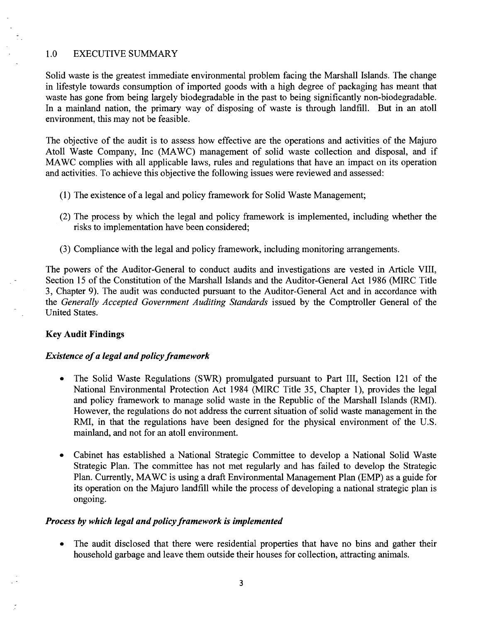#### 1.0 EXECUTIVE SUMMARY

Solid waste is the greatest immediate environmental problem facing the Marshall Islands. The change in lifestyle towards consumption of imported goods with a high degree of packaging has meant that waste has gone from being largely biodegradable in the past to being significantly non-biodegradable. In a mainland nation, the primary way of disposing of waste is through landfill. But in an atoll environment, this may not be feasible.

The objective of the audit is to assess how effective are the operations and activities of the Majuro Atoll Waste Company, Inc (MA WC) management of solid waste collection and disposal, and if MAWC complies with all applicable laws, rules and regulations that have an impact on its operation and activities. To achieve this objective the following issues were reviewed and assessed:

- (1) The existence of a legal and policy framework for Solid Waste Management;
- (2) The process by which the legal and policy framework is implemented, including whether the risks to implementation have been considered;
- (3) Compliance with the legal and policy framework, including monitoring arrangements.

The powers of the Auditor-General to conduct audits and investigations are vested in Article VIII, Section 15 of the Constitution of the Marshall Islands and the Auditor-General Act 1986 (MIRC Title 3, Chapter 9). The audit was conducted pursuant to the Auditor-General Act and in accordance with the *Generally Accepted Government Auditing Standards* issued by the Comptroller General of the United States.

#### Key Audit Findings

#### *Existence of a legal and policy framework*

- The Solid Waste Regulations (SWR) promulgated pursuant to Part III, Section 121 of the National Environmental Protection Act 1984 (MIRC Title 35, Chapter 1), provides the legal and policy framework to manage solid waste in the Republic of the Marshall Islands (RMI). However, the regulations do not address the current situation of solid waste management in the RMI, in that the regulations have been designed for the physical environment of the U.S. mainland, and not for an atoll environment.
- Cabinet has established a National Strategic Committee to develop a National Solid Waste Strategic Plan. The committee has not met regularly and has failed to develop the Strategic Plan. Currently, MA WC is using a draft Environmental Management Plan (EMP) as a guide for its operation on the Majuro landfill while the process of developing a national strategic plan is ongoing.

#### *Process by which legal and policy framework is implemented*

• The audit disclosed that there were residential properties that have no bins and gather their household garbage and leave them outside their houses for collection, attracting animals.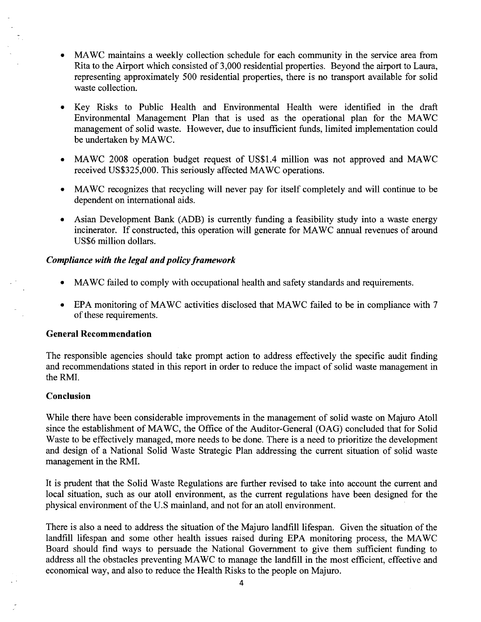- MAWC maintains a weekly collection schedule for each community in the service area from Rita to the Airport which consisted of 3,000 residential properties. Beyond the airport to Laura, representing approximately 500 residential properties, there is no transport available for solid waste collection.
- Key Risks to Public Health and Environmental Health were identified in the draft Environmental Management Plan that is used as the operational plan for the MAWC management of solid waste. However, due to insufficient funds, limited implementation could be undertaken by MAWC.
- MAWC 2008 operation budget request of US\$1.4 million was not approved and MAWC received US\$325,000. This seriously affected MAWC operations.
- MAWC recognizes that recycling will never pay for itself completely and will continue to be dependent on international aids.
- Asian Development Bank (ADB) is currently funding a feasibility study into a waste energy incinerator. If constructed, this operation will generate for MAWC annual revenues of around US\$6 million dollars.

#### *Compliance with the legal and policy framework*

- MAWC failed to comply with occupational health and safety standards and requirements.
- EPA monitoring of MAWC activities disclosed that MAWC failed to be in compliance with 7 of these requirements.

#### General Recommendation

The responsible agencies should take prompt action to address effectively the specific audit finding and recommendations stated in this report in order to reduce the impact of solid waste management in the RMI.

#### Conclusion

While there have been considerable improvements in the management of solid waste on Majuro Atoll since the establishment of MAWC, the Office of the Auditor-General (OAG) concluded that for Solid Waste to be effectively managed, more needs to be done. There is a need to prioritize the development and design of a National Solid Waste Strategic Plan addressing the current situation of solid waste management in the RMI.

It is prudent that the Solid Waste Regulations are further revised to take into account the current and local situation, such as our atoll environment, as the current regulations have been designed for the physical environment of the U.S mainland, and not for an atoll environment.

There is also a need to address the situation of the Majuro landfill lifespan. Given the situation of the landfill lifespan and some other health issues raised during EPA monitoring process, the MAWe Board should find ways to persuade the National Government to give them sufficient funding to address all the obstacles preventing MAWe to manage the landfill in the most efficient, effective and economical way, and also to reduce the Health Risks to the people on Majuro.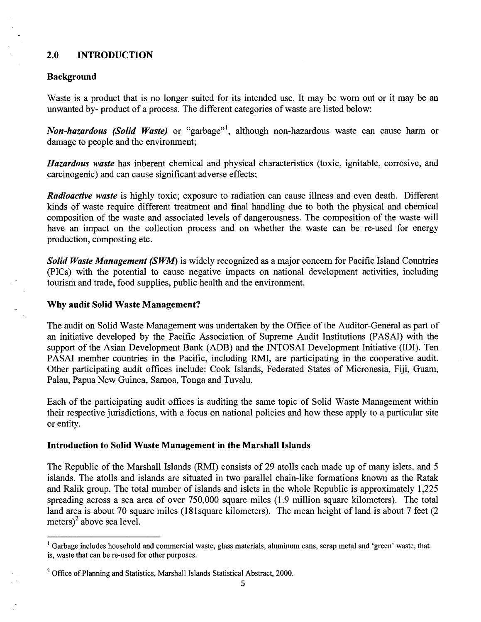#### 2.0 INTRODUCTION

#### Background

Waste is a product that is no longer suited for its intended use. It may be worn out or it may be an unwanted by- product of a process. The different categories of waste are listed below:

*Non-hazardous (Solid Waste)* or "garbage"<sup>1</sup> , although non-hazardous waste can cause harm or damage to people and the environment;

*Hazardous waste* has inherent chemical and physical characteristics (toxic, ignitable, corrosive, and carcinogenic) and can cause significant adverse effects;

*Radioactive waste* is highly toxic; exposure to radiation can cause illness and even death. Different kinds of waste require different treatment and final handling due to both the physical and chemical composition of the waste and associated levels of dangerousness. The composition of the waste will have an impact on the collection process and on whether the waste can be re-used for energy production, composting etc.

*Solid Waste Management (SWM)* is widely recognized as a major concern for Pacific Island Countries (PICs) with the potential to cause negative impacts on national development activities, including tourism and trade, food supplies, public health and the environment.

#### Why audit Solid Waste Management?

The audit on Solid Waste Management was undertaken by the Office of the Auditor-General as part of an initiative developed by the Pacific Association of Supreme Audit Institutions (PASAI) with the support of the Asian Development Bank (ADB) and the INTOSAI Development Initiative (IDI). Ten PASAI member countries in the Pacific, including RMI, are participating in the cooperative audit. Other participating audit offices include: Cook Islands, Federated States of Micronesia, Fiji, Guam, Palau, Papua New Guinea, Samoa, Tonga and Tuvalu.

Each of the participating audit offices is auditing the same topic of Solid Waste Management within their respective jurisdictions, with a focus on national policies and how these apply to a particular site or entity.

#### Introduction to Solid Waste Management in the Marshall Islands

The Republic of the Marshall Islands (RMI) consists of 29 atolls each made up of many islets, and 5 islands. The atolls and islands are situated in two parallel chain-like formations known as the Ratak and Ralik group. The total number of islands and islets in the whole Republic is approximately 1 ,225 spreading across a sea area of over 750,000 square miles (1.9 million square kilometers). The total land area is about 70 square miles (181 square kilometers). The mean height of land is about 7 feet (2) meters $)^2$  above sea level.

<sup>&</sup>lt;sup>1</sup> Garbage includes household and commercial waste, glass materials, aluminum cans, scrap metal and 'green' waste, that is, waste that can be re-used for other purposes.

<sup>&</sup>lt;sup>2</sup> Office of Planning and Statistics, Marshall Islands Statistical Abstract, 2000.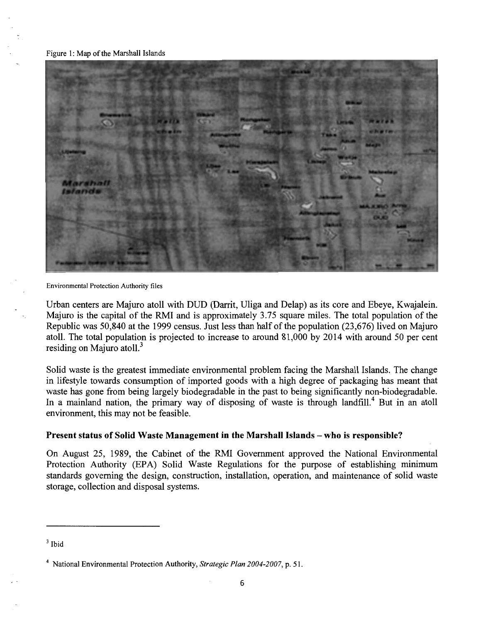#### Figure 1: Map of the Marshall Islands



Environmental Protection Authority files

Urban centers are Majuro atoll with DUD (Darrit, Uliga and Delap) as its core and Ebeye, Kwajalein. Majuro is the capital of the RMI and is approximately 3.75 square miles. The total population of the Republic was 50,840 at the 1999 census. Just less than half of the population (23,676) lived on Majuro atoll. The total population is projected to increase to around 81 ,000 by 2014 with around 50 per cent residing on Majuro atoll.<sup>3</sup>

Solid waste is the greatest immediate environmental problem facing the Marshall Islands. The change in lifestyle towards consumption of imported goods with a high degree of packaging has meant that waste has gone from being largely biodegradable in the past to being significantly non-biodegradable. In a mainland nation, the primary way of disposing of waste is through landfill.<sup>4</sup> But in an atoll environment, this may not be feasible.

#### **Present status of Solid Waste Management in the Marshall Islands- who is responsible?**

On August 25, 1989, the Cabinet of the RMI Government approved the National Environmental Protection Authority (EPA) Solid Waste Regulations for the purpose of establishing minimum standards governing the design, construction, installation, operation, and maintenance of solid waste storage, collection and disposal systems.

 $3$  Ibid

<sup>&</sup>lt;sup>4</sup> National Environmental Protection Authority, *Strategic Plan 2004-2007*, p. 51.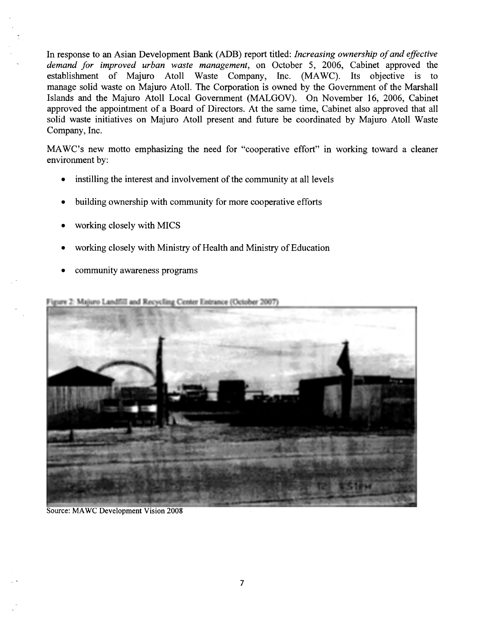In response to an Asian Development Bank (ADB) report titled: *Increasing ownership of and effective demand for improved urban waste management,* on October 5, 2006, Cabinet approved the establishment of Majuro Atoll Waste Company, Inc. (MA WC). Its objective is to manage solid waste on Majuro Atoll. The Corporation is owned by the Government of the Marshall Islands and the Majuro Atoll Local Government (MALGOV). On November 16, 2006, Cabinet approved the appointment of a Board of Directors. At the same time, Cabinet also approved that all solid waste initiatives on Majuro Atoll present and future be coordinated by Majuro Atoll Waste Company, Inc.

MAWC's new motto emphasizing the need for "cooperative effort" in working toward a cleaner environment by:

- instilling the interest and involvement of the community at all levels
- building ownership with community for more cooperative efforts
- working closely with MICS
- working closely with Ministry of Health and Ministry of Education
- community awareness programs

Figure 2: Majuro Landfill and Recycling Center Entrance (October 2007)



Source: MAWC Development Vision 2008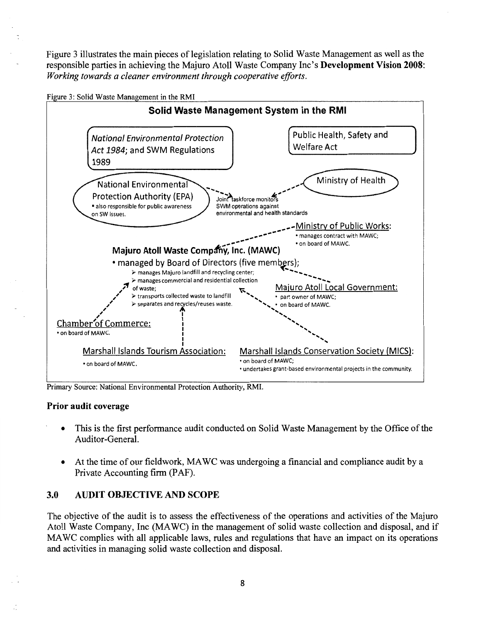Figure 3 illustrates the main pieces of legislation relating to Solid Waste Management as well as the responsible parties in achieving the Majuro Atoll Waste Company Inc's Development Vision 2008: *Working towards a cleaner environment through cooperative efforts.* 





Primary Source: National Environmental Protection Authority, RMI.

#### Prior audit coverage

- This is the first performance audit conducted on Solid Waste Management by the Office of the Auditor-General.
- At the time of our fieldwork, MA WC was undergoing a financial and compliance audit by a Private Accounting firm (PAF).

#### 3.0 AUDIT OBJECTIVE AND SCOPE

The objective of the audit is to assess the effectiveness of the operations and activities of the Majuro Atoll Waste Company, Inc (MAWC) in the management of solid waste collection and disposal, and if MA WC complies with all applicable laws, rules and regulations that have an impact on its operations and activities in managing solid waste collection and disposal.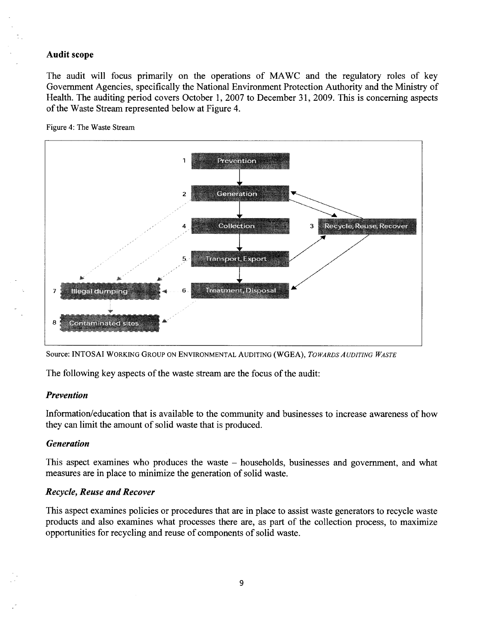#### Audit scope

The audit will focus primarily on the operations of MA WC and the regulatory roles of key Government Agencies, specifically the National Environment Protection Authority and the Ministry of Health. The auditing period covers October 1, 2007 to December 31, 2009. This is concerning aspects of the Waste Stream represented below at Figure 4.





Source: INTOSAI WORKING GROUP ON ENVIRONMENTAL AUDITING (WGEA), *TOWARDS AUDITING WASTE* 

The following key aspects of the waste stream are the focus of the audit:

#### *Prevention*

Information/education that is available to the community and businesses to increase awareness of how they can limit the amount of solid waste that is produced.

#### *Generation*

This aspect examines who produces the waste – households, businesses and government, and what measures are in place to minimize the generation of solid waste.

#### *Recycle, Reuse and Recover*

This aspect examines policies or procedures that are in place to assist waste generators to recycle waste products and also examines what processes there are, as part of the collection process, to maximize opportunities for recycling and reuse of components of solid waste.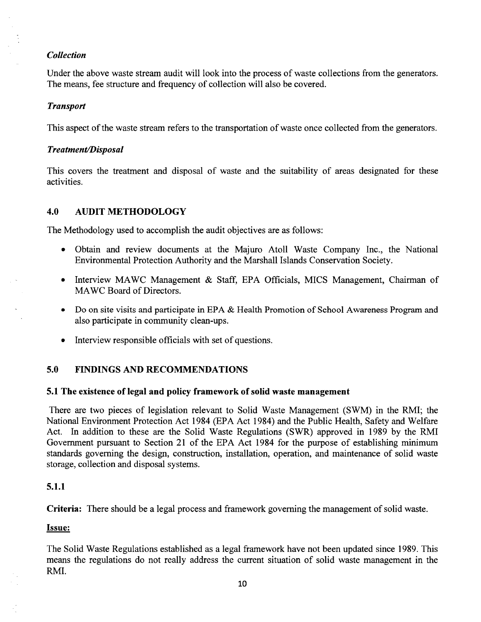#### *Collection*

Under the above waste stream audit will look into the process of waste collections from the generators. The means, fee structure and frequency of collection will also be covered.

#### *Transport*

This aspect of the waste stream refers to the transportation of waste once collected from the generators.

#### *Treatment/Disposal*

This covers the treatment and disposal of waste and the suitability of areas designated for these activities.

## 4.0 AUDIT METHODOLOGY

The Methodology used to accomplish the audit objectives are as follows:

- Obtain and review documents at the Majuro Atoll Waste Company Inc., the National Environmental Protection Authority and the Marshall Islands Conservation Society.
- Interview MAWC Management & Staff, EPA Officials, MICS Management, Chairman of MAWC Board of Directors.
- Do on site visits and participate in EPA & Health Promotion of School Awareness Program and also participate in community clean-ups.
- Interview responsible officials with set of questions.

## 5.0 FINDINGS AND RECOMMENDATIONS

#### 5.1 The existence of legal and policy framework of solid waste management

There are two pieces of legislation relevant to Solid Waste Management (SWM) in the RMI; the National Environment Protection Act 1984 (EPA Act 1984) and the Public Health, Safety and Welfare Act. In addition to these are the Solid Waste Regulations (SWR) approved in 1989 by the RMI Government pursuant to Section 21 of the EPA Act 1984 for the purpose of establishing minimum standards governing the design, construction, installation, operation, and maintenance of solid waste storage, collection and disposal systems.

## 5.1.1

Criteria: There should be a legal process and framework governing the management of solid waste.

#### Issue:

The Solid Waste Regulations established as a legal framework have not been updated since 1989. This means the regulations do not really address the current situation of solid waste management in the RMI.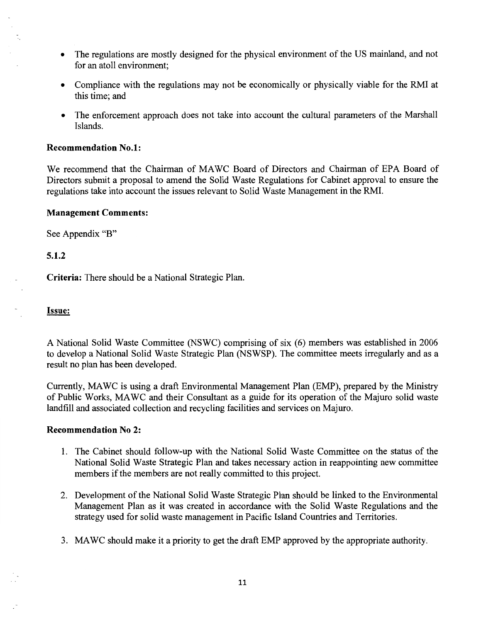- The regulations are mostly designed for the physical environment of the US mainland, and not for an atoll environment;
- Compliance with the regulations may not be economically or physically viable for the RMI at this time; and
- The enforcement approach does not take into account the cultural parameters of the Marshall Islands.

#### **Recommendation No.1:**

We recommend that the Chairman of MAWC Board of Directors and Chairman of EPA Board of Directors submit a proposal to amend the Solid Waste Regulations for Cabinet approval to ensure the regulations take into account the issues relevant to Solid Waste Management in the RMI.

#### **Management Comments:**

See Appendix "B"

#### **5.1.2**

**Criteria:** There should be a National Strategic Plan.

#### Issue:

A National Solid Waste Committee (NSWC) comprising of six (6) members was established in 2006 to develop a National Solid Waste Strategic Plan (NSWSP). The committee meets irregularly and as a result no plan has been developed.

Currently, MAWC is using a draft Environmental Management Plan (EMP), prepared by the Ministry of Public Works, MA WC and their Consultant as a guide for its operation of the Majuro solid waste landfill and associated collection and recycling facilities and services on Majuro.

#### **Recommendation No 2:**

- 1. The Cabinet should follow-up with the National Solid Waste Committee on the status of the National Solid Waste Strategic Plan and takes necessary action in reappointing new committee members if the members are not really committed to this project.
- 2. Development of the National Solid Waste Strategic Plan should be linked to the Environmental Management Plan as it was created in accordance with the Solid Waste Regulations and the strategy used for solid waste management in Pacific Island Countries and Territories.
- 3. MAWC should make it a priority to get the draft EMP approved by the appropriate authority.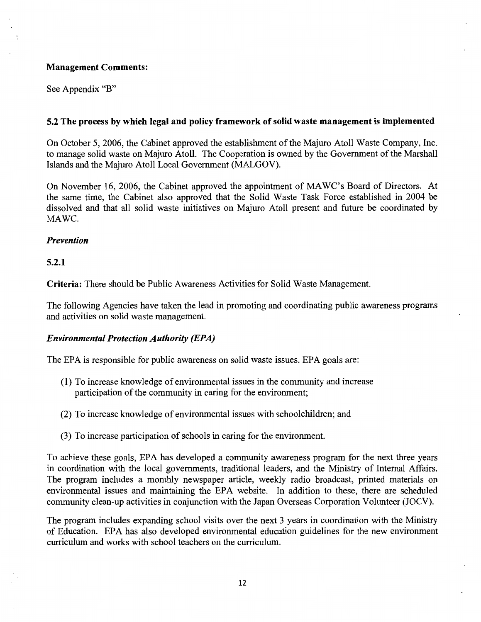#### Management Comments:

See Appendix "B"

#### 5.2 The process by which legal and policy framework of solid waste management is implemented

On October 5, 2006, the Cabinet approved the establishment of the Majuro Atoll Waste Company, Inc. to manage solid waste on Majuro Atoll. The Cooperation is owned by the Government of the Marshall Islands and the Majuro Atoll Local Government (MALGOV).

On November 16, 2006, the Cabinet approved the appointment of MAWC's Board of Directors. At the same time, the Cabinet also approved that the Solid Waste Task Force established in 2004 be dissolved and that all solid waste initiatives on Majuro Atoll present and future be coordinated by MAWC.

#### *Prevention*

#### 5.2.1

Criteria: There should be Public Awareness Activities for Solid Waste Management.

The following Agencies have taken the lead in promoting and coordinating public awareness programs and activities on solid waste management.

#### *Environmental Protection Authority (EPA)*

The EPA is responsible for public awareness on solid waste issues. EPA goals are:

- (1) To increase knowledge of environmental issues in the community and increase participation of the community in caring for the environment;
- (2) To increase knowledge of environmental issues with schoolchildren; and
- (3) To increase participation of schools in caring for the environment.

To achieve these goals, EPA has developed a community awareness program for the next three years in coordination with the local governments, traditional leaders, and the Ministry of Internal Affairs. The program includes a monthly newspaper article, weekly radio broadcast, printed materials on environmental issues and maintaining the EPA website. In addition to these, there are scheduled community clean-up activities in conjunction with the Japan Overseas Corporation Volunteer (JOCV).

The program includes expanding school visits over the next 3 years in coordination with the Ministry of Education. EPA has also developed environmental education guidelines for the new environment curriculum and works with school teachers on the curriculum.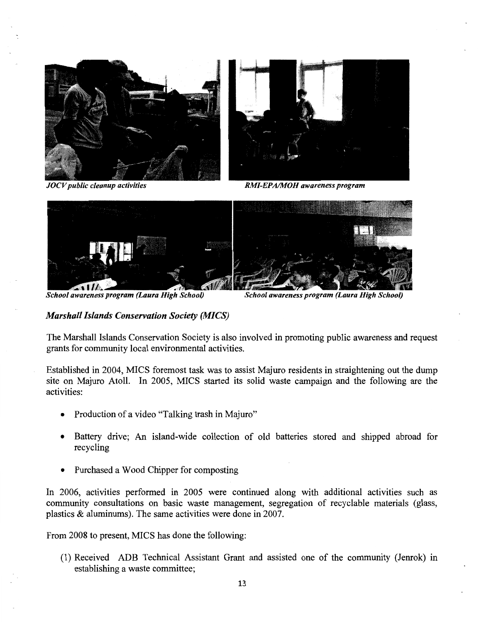

*JOCV public cleanup activities RMI-EPA/MOH awareness program* 



School awareness program (Laura High School)

*School awareness program (Laura High School)* 

#### *Marshall Islands Conservation Society (MICS)*

The Marshall Islands Conservation Society is also involved in promoting public awareness and request grants for community local environmental activities.

Established in 2004, MICS foremost task was to assist Majuro residents in straightening out the dump site on Majuro Atoll. In 2005, MICS started its solid waste campaign and the following are the activities:

- Production of a video "Talking trash in Majuro"
- Battery drive; An island-wide collection of old batteries stored and shipped abroad for recycling
- Purchased a Wood Chipper for composting

In 2006, activities performed in 2005 were continued along with additional activities such as community consultations on basic waste management, segregation of recyclable materials (glass, plastics & aluminums). The same activities were done in 2007.

From 2008 to present, MICS has done the following:

(1) Received ADB Technical Assistant Grant and assisted one of the community (Jenrok) in establishing a waste committee;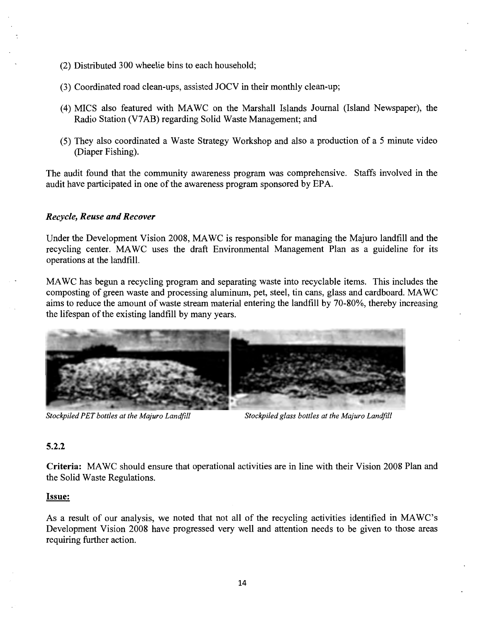- (2) Distributed 300 wheelie bins to each household;
- (3) Coordinated road clean-ups, assisted JOCV in their monthly clean-up;
- (4) MICS also featured with MAWC on the Marshall Islands Journal (Island Newspaper), the Radio Station (V7 AB) regarding Solid Waste Management; and
- (5) They also coordinated a Waste Strategy Workshop and also a production of a 5 minute video (Diaper Fishing).

The audit found that the community awareness program was comprehensive. Staffs involved in the audit have participated in one of the awareness program sponsored by EPA.

#### *Recycle, Reuse and Recover*

Under the Development Vision 2008, MA WC is responsible for managing the Majuro landfill and the recycling center. MAWC uses the draft Environmental Management Plan as a guideline for its operations at the landfill.

MA WC has begun a recycling program and separating waste into recyclable items. This includes the composting of green waste and processing aluminum, pet, steel, tin cans, glass and cardboard. MAWC aims to reduce the amount of waste stream material entering the landfill by 70-80%, thereby increasing the lifespan of the existing landfill by many years.



*Stockpiled PET bottles at the Majuro Landfill Stockpiled glass bottles at the Majuro Landfill* 

#### **5.2.2**

**Criteria:** MA WC should ensure that operational activities are in line with their Vision 2008 Plan and the Solid Waste Regulations.

#### <u>Issue:</u>

As a result of our analysis, we noted that not all of the recycling activities identified in MA WC's Development Vision 2008 have progressed very well and attention needs to be given to those areas requiring further action.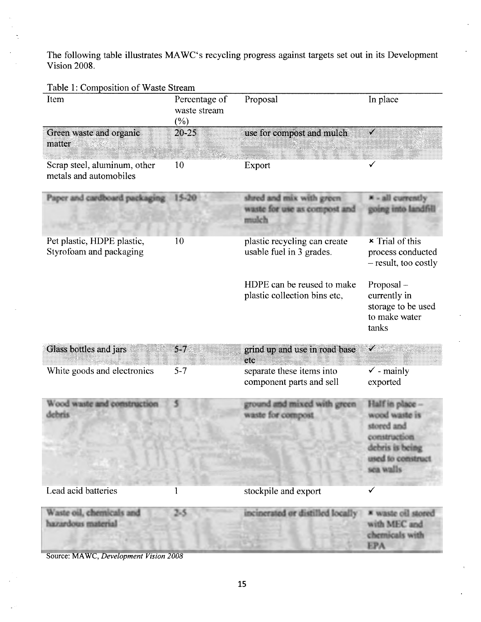The following table illustrates MAWC's recycling progress against targets set out in its Development Vision 2008.

| Item                                                   | Percentage of<br>waste stream<br>$(\%)$ | Proposal                                                          | In place                                                                                                            |
|--------------------------------------------------------|-----------------------------------------|-------------------------------------------------------------------|---------------------------------------------------------------------------------------------------------------------|
| Green waste and organic<br>matter                      | 20-25                                   | use for compost and mulch                                         |                                                                                                                     |
| Scrap steel, aluminum, other<br>metals and automobiles | 10                                      | Export                                                            |                                                                                                                     |
| Paper and cardboard packaging                          | 15-20                                   | shred and mix with green<br>waste for use as compost and<br>mulch | - all currently<br>coing into landfill                                                                              |
| Pet plastic, HDPE plastic,<br>Styrofoam and packaging  | 10                                      | plastic recycling can create<br>usable fuel in 3 grades.          | $\times$ Trial of this<br>process conducted<br>- result, too costly                                                 |
|                                                        |                                         | HDPE can be reused to make<br>plastic collection bins etc,        | Proposal-<br>currently in<br>storage to be used<br>to make water<br>tanks                                           |
| Glass bottles and jars                                 | $5-7$                                   | grind up and use in road base<br>etc                              | ✔                                                                                                                   |
| White goods and electronics                            | $5 - 7$                                 | separate these items into<br>component parts and sell             | $\checkmark$ - mainly<br>exported                                                                                   |
| Wood waste and construction<br>kobietis                |                                         | ground and mixed with green<br>waste for compost                  | Half in place -<br>wood waste is<br>stored and<br>construction<br>debris is being<br>used to construct<br>sea walls |
| Lead acid batteries                                    |                                         | stockpile and export                                              | ✓                                                                                                                   |
| Waste oil, chemicals and<br>hazardous material         | 53                                      | incinerated or distilled locally                                  | * waste oil stored<br>with MEC and<br>chemicals with<br><b>EPA</b>                                                  |

Source: MA WC, *Development Vision 2008*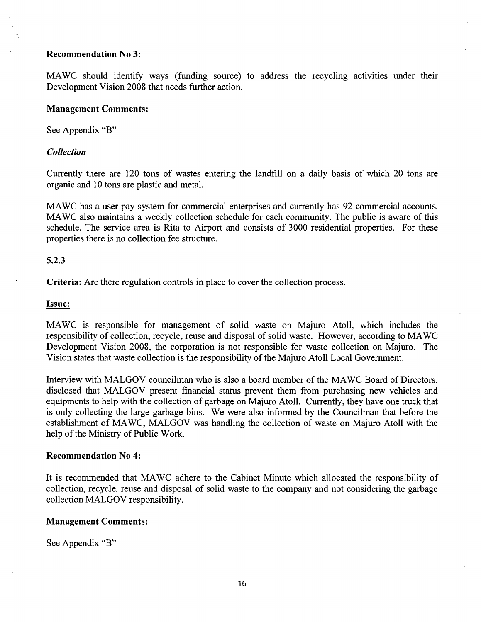#### **Recommendation No 3:**

MAWC should identify ways (funding source) to address the recycling activities under their Development Vision 2008 that needs further action.

#### **Management Comments:**

See Appendix "B"

#### *Collection*

Currently there are 120 tons of wastes entering the landfill on a daily basis of which 20 tons are organic and 10 tons are plastic and metal.

MA WC has a user pay system for commercial enterprises and currently has 92 commercial accounts. MA WC also maintains a weekly collection schedule for each community. The public is aware of this schedule. The service area is Rita to Airport and consists of 3000 residential properties. For these properties there is no collection fee structure.

#### **5.2.3**

**Criteria:** Are there regulation controls in place to cover the collection process.

#### **Issue:**

MA WC is responsible for management of solid waste on Majuro Atoll, which includes the responsibility of collection, recycle, reuse and disposal of solid waste. However, according to MA WC Development Vision 2008, the corporation is not responsible for waste collection on Majuro. The Vision states that waste collection is the responsibility of the Majuro Atoll Local Government.

Interview with MALGOV councilman who is also a board member of the MAWC Board of Directors, disclosed that MALGOV present financial status prevent them from purchasing new vehicles and equipments to help with the collection of garbage on Majuro Atoll. Currently, they have one truck that is only collecting the large garbage bins. We were also informed by the Councilman that before the establishment of MA WC, MALGOV was handling the collection of waste on Majuro Atoll with the help of the Ministry of Public Work.

#### **Recommendation No 4:**

It is recommended that MA WC adhere to the Cabinet Minute which allocated the responsibility of collection, recycle, reuse and disposal of solid waste to the company and not considering the garbage collection MALGOV responsibility.

#### **Management Comments:**

See Appendix "B"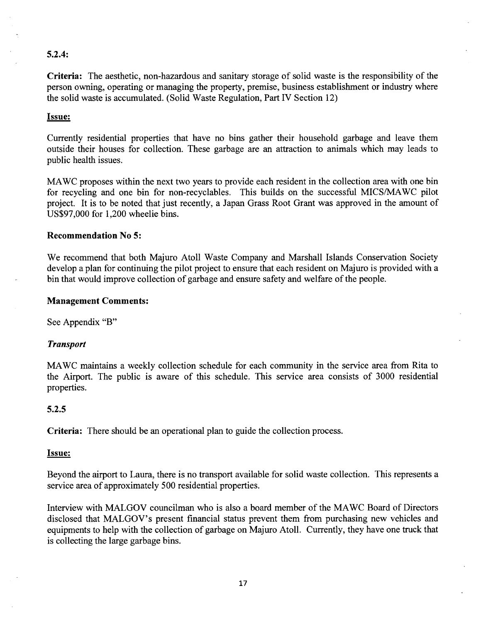#### **5.2.4:**

**Criteria:** The aesthetic, non-hazardous and sanitary storage of solid waste is the responsibility of the person owning, operating or managing the property, premise, business establishment or industry where the solid waste is accumulated. (Solid Waste Regulation, Part IV Section 12)

#### Issue:

Currently residential properties that have no bins gather their household garbage and leave them outside their houses for collection. These garbage are an attraction to animals which may leads to public health issues.

MA WC proposes within the next two years to provide each resident in the collection area with one bin for recycling and one bin for non-recyclables. This builds on the successful MICS/MA WC pilot project. It is to be noted that just recently, a Japan Grass Root Grant was approved in the amount of US\$97,000 for 1,200 wheelie bins.

#### **Recommendation No 5:**

We recommend that both Majuro Atoll Waste Company and Marshall Islands Conservation Society develop a plan for continuing the pilot project to ensure that each resident on Majuro is provided with a bin that would improve collection of garbage and ensure safety and welfare of the people.

#### **Management Comments:**

See Appendix "B"

#### *Transport*

MA WC maintains a weekly collection schedule for each community in the service area from Rita to the Airport. The public is aware of this schedule. This service area consists of 3000 residential properties.

#### **5.2.5**

**Criteria:** There should be an operational plan to guide the collection process.

#### Issue:

Beyond the airport to Laura, there is no transport available for solid waste collection. This represents a service area of approximately 500 residential properties.

Interview with MALGOV councilman who is also a board member of the MA WC Board of Directors disclosed that MALGOV's present financial status prevent them from purchasing new vehicles and equipments to help with the collection of garbage on Majuro Atoll. Currently, they have one truck that is collecting the large garbage bins.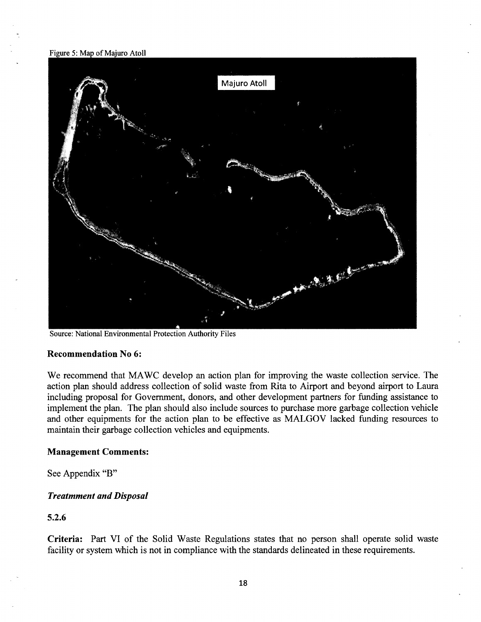Figure 5: Map of Majuro Atoll



Source: National Environmental Protection Authority Files

#### **Recommendation No 6:**

We recommend that MAWC develop an action plan for improving the waste collection service. The action plan should address collection of solid waste from Rita to Airport and beyond airport to Laura including proposal for Government, donors, and other development partners for funding assistance to implement the plan. The plan should also include sources to purchase more garbage collection vehicle and other equipments for the action plan to be effective as MALGOV lacked funding resources to maintain their garbage collection vehicles and equipments.

#### **Management Comments:**

See Appendix "B"

#### *Treatmment and Disposal*

#### **5.2.6**

**Criteria:** Part VI of the Solid Waste Regulations states that no person shall operate solid waste facility or system which is not in compliance with the standards delineated in these requirements.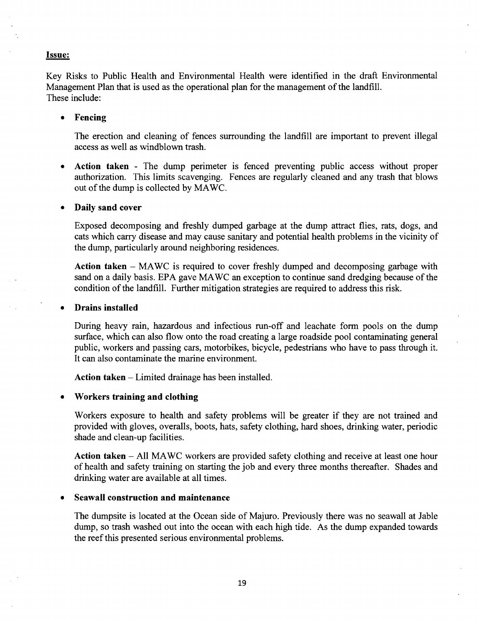#### Issue:

Key Risks to Public Health and Environmental Health were identified in the draft Environmental Management Plan that is used as the operational plan for the management of the landfill. These include:

#### • Fencing

The erection and cleaning of fences surrounding the landfill are important to prevent illegal access as well as windblown trash.

• Action taken - The dump perimeter is fenced preventing public access without proper authorization. This limits scavenging. Fences are regularly cleaned and any trash that blows out of the dump is collected by MAWC.

#### • Daily sand cover

Exposed decomposing and freshly dumped garbage at the dump attract flies, rats, dogs, and cats which carry disease and may cause sanitary and potential health problems in the vicinity of the dump, particularly around neighboring residences.

Action taken  $-$  MAWC is required to cover freshly dumped and decomposing garbage with sand on a daily basis. EPA gave MAWC an exception to continue sand dredging because of the condition of the landfill. Further mitigation strategies are required to address this risk.

#### • Drains installed

During heavy rain, hazardous and infectious run-off and leachate form pools on the dump surface, which can also flow onto the road creating a large roadside pool contaminating general public, workers and passing cars, motorbikes, bicycle, pedestrians who have to pass through it. It can also contaminate the marine environment.

Action taken - Limited drainage has been installed.

#### • Workers training and clothing

Workers exposure to health and safety problems will be greater if they are not trained and provided with gloves, overalls, boots, hats, safety clothing, hard shoes, drinking water, periodic shade and clean-up facilities.

Action taken – All MAWC workers are provided safety clothing and receive at least one hour of health and safety training on starting the job and every three months thereafter. Shades and drinking water are available at all times.

#### • Seawall construction and maintenance

The dumpsite is located at the Ocean side of Majuro. Previously there was no seawall at Jable dump, so trash washed out into the ocean with each high tide. As the dump expanded towards the reef this presented serious environmental problems.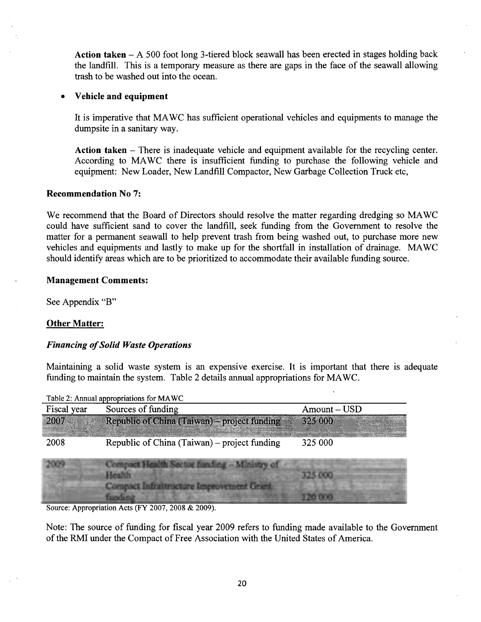Action taken – A 500 foot long 3-tiered block seawall has been erected in stages holding back the landfill. This is a temporary measure as there are gaps in the face of the seawall allowing trash to be washed out into the ocean.

#### • **Vehicle and equipment**

It is imperative that MA WC has sufficient operational vehicles and equipments to manage the dumpsite in a sanitary way.

**Action taken** - There is inadequate vehicle and equipment available for the recycling center. According to MAWC there is insufficient funding to purchase the following vehicle and equipment: New Loader, New Landfill Compactor, New Garbage Collection Truck etc,

#### **Recommendation No 7:**

We recommend that the Board of Directors should resolve the matter regarding dredging so MAWC could have sufficient sand to cover the landfill, seek funding from the Government to resolve the matter for a permanent seawall to help prevent trash from being washed out, to purchase more new vehicles and equipments and lastly to make up for the shortfall in installation of drainage. MA WC should identify areas which are to be prioritized to accommodate their available funding source.

#### **Management Comments:**

See Appendix "B"

#### **Other Matter:**

#### *Financing of Solid Waste Operations*

Maintaining a solid waste system is an expensive exercise. It is important that there is adequate funding to maintain the system. Table 2 details annual appropriations for MAWC.

| Fiscal year | Sources of funding                           | $Amount - USD$ |
|-------------|----------------------------------------------|----------------|
| 2007        | Republic of China (Taiwan) - project funding | 325 000        |
| 2008        | Republic of China (Taiwan) – project funding | 325 000        |
|             |                                              |                |
|             |                                              |                |
|             |                                              |                |
|             |                                              |                |

Table  $2:$  Annual appropriations for MA WC

Source: Appropriation Acts (FY 2007, 2008 & 2009).

Note: The source of funding for fiscal year 2009 refers to funding made available to the Government of the RMI under the Compact of Free Association with the United States of America.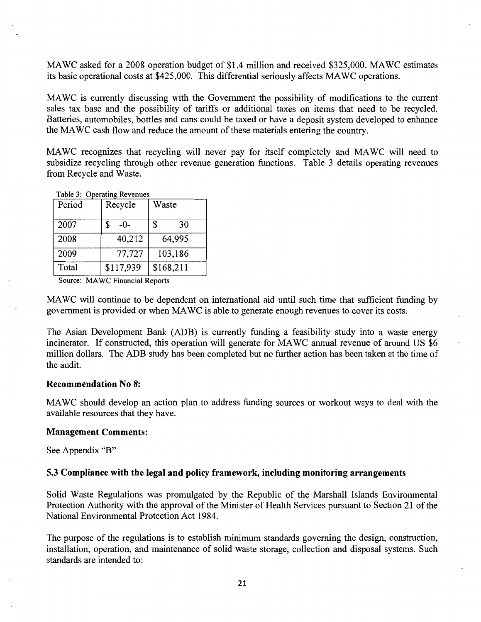MAWC asked for a 2008 operation budget of \$1.4 million and received \$325,000. MAWC estimates its basic operational costs at \$425,000. This differential seriously affects MA We operations.

MA we is currently discussing with the Government the possibility of modifications to the current sales tax base and the possibility of tariffs or additional taxes on items that need to be recycled. Batteries, automobiles, bottles and cans could be taxed or have a deposit system developed to enhance the MAWe cash flow and reduce the amount of these materials entering the country.

MAWC recognizes that recycling will never pay for itself completely and MAWC will need to subsidize recycling through other revenue generation functions. Table 3 details operating revenues from Recycle and Waste.

Table 3: Operating Revenues

| Period | Recycle    | Waste     |
|--------|------------|-----------|
| 2007   | S<br>$-0-$ | \$<br>30  |
| 2008   | 40,212     | 64,995    |
| 2009   | 77,727     | 103,186   |
| Total  | \$117,939  | \$168,211 |

Source: MA WC Financial Reports

MAWe will continue to be dependent on international aid until such time that sufficient funding by government is provided or when MAWe is able to generate enough revenues to cover its costs.

The Asian Development Bank (ADB) is currently funding a feasibility study into a waste energy incinerator. If constructed, this operation will generate for MAWC annual revenue of around US \$6 million dollars. The ADB study has been completed but no further action has been taken at the time of the audit.

#### **Recommendation No 8:**

MAWe should develop an action plan to address funding sources or workout ways to deal with the available resources that they have.

#### **Management Comments:**

See Appendix "B"

#### **5.3 Compliance with the legal and policy framework, including monitoring arrangements**

Solid Waste Regulations was promulgated by the Republic of the Marshall Islands Environmental Protection Authority with the approval of the Minister of Health Services pursuant to Section 21 of the National Environmental Protection Act 1984.

The purpose of the regulations is to establish minimum standards governing the design, construction, installation, operation, and maintenance of solid waste storage, collection and disposal systems. Such standards are intended to: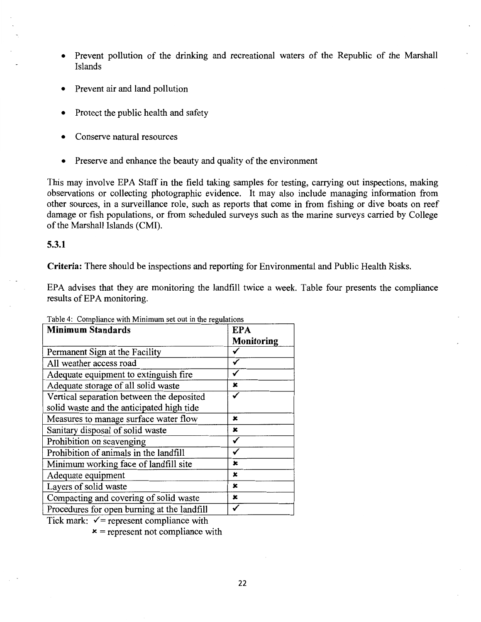- Prevent pollution of the drinking and recreational waters of the Republic of the Marshall Islands
- Prevent air and land pollution
- Protect the public health and safety
- Conserve natural resources
- Preserve and enhance the beauty and quality of the environment

This may involve EPA Staff in the field taking samples for testing, carrying out inspections, making observations or collecting photographic evidence. It may also include managing information from other sources, in a surveillance role, such as reports that come in from fishing or dive boats on reef damage or fish populations, or from scheduled surveys such as the marine surveys carried by College of the Marshall Islands (CMI).

#### **5.3.1**

**Criteria:** There should be inspections and reporting for Environmental and Public Health Risks.

EPA advises that they are monitoring the landfill twice a week. Table four presents the compliance results of EPA monitoring.

| <b>Minimum Standards</b>                    | <b>EPA</b> |
|---------------------------------------------|------------|
|                                             | Monitoring |
| Permanent Sign at the Facility              |            |
| All weather access road                     |            |
| Adequate equipment to extinguish fire       |            |
| Adequate storage of all solid waste         | x          |
| Vertical separation between the deposited   |            |
| solid waste and the anticipated high tide   |            |
| Measures to manage surface water flow       | x          |
| Sanitary disposal of solid waste            | x          |
| Prohibition on scavenging                   |            |
| Prohibition of animals in the landfill      |            |
| Minimum working face of landfill site       | x          |
| Adequate equipment                          | x          |
| Layers of solid waste                       | x          |
| Compacting and covering of solid waste      | x          |
| Procedures for open burning at the landfill |            |

Table 4: Compliance with Minimum set out in the regulations

Tick mark:  $\sqrt{\ }$  = represent compliance with

 $x$  = represent not compliance with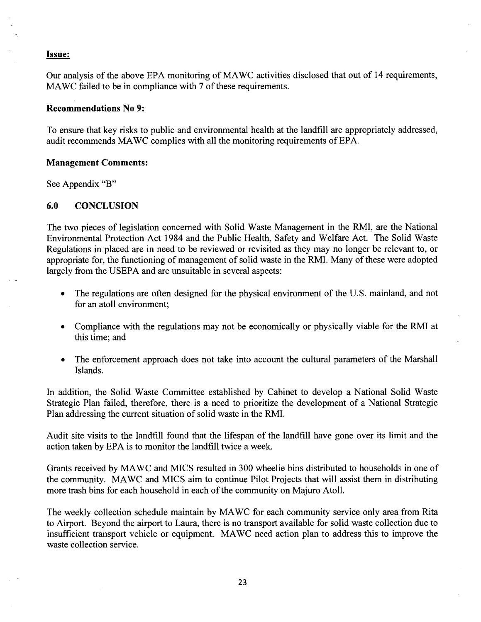#### Issue:

Our analysis of the above EPA monitoring of MA WC activities disclosed that out of 14 requirements, MAWC failed to be in compliance with 7 of these requirements.

#### Recommendations No 9:

To ensure that key risks to public and environmental health at the landfill are appropriately addressed, audit recommends MA WC complies with all the monitoring requirements of EPA.

#### Management Comments:

See Appendix "B"

#### 6.0 CONCLUSION

The two pieces of legislation concerned with Solid Waste Management in the RMI, are the National Environmental Protection Act 1984 and the Public Health, Safety and Welfare Act. The Solid Waste Regulations in placed are in need to be reviewed or revisited as they may no longer be relevant to, or appropriate for, the functioning of management of solid waste in the RMI. Many of these were adopted largely from the USEPA and are unsuitable in several aspects:

- The regulations are often designed for the physical environment of the U.S. mainland, and not for an atoll environment;
- Compliance with the regulations may not be economically or physically viable for the RMI at this time; and
- The enforcement approach does not take into account the cultural parameters of the Marshall Islands.

In addition, the Solid Waste Committee established by Cabinet to develop a National Solid Waste Strategic Plan failed, therefore, there is a need to prioritize the development of a National Strategic Plan addressing the current situation of solid waste in the RMI.

Audit site visits to the landfill found that the lifespan of the landfill have gone over its limit and the action taken by EPA is to monitor the landfill twice a week.

Grants received by MA WC and MICS resulted in 300 wheelie bins distributed to households in one of the community. MAWC and MICS aim to continue Pilot Projects that will assist them in distributing more trash bins for each household in each of the community on Majuro Atoll.

The weekly collection schedule maintain by MA WC for each community service only area from Rita to Airport. Beyond the airport to Laura, there is no transport available for solid waste collection due to insufficient transport vehicle or equipment. MAWC need action plan to address this to improve the waste collection service.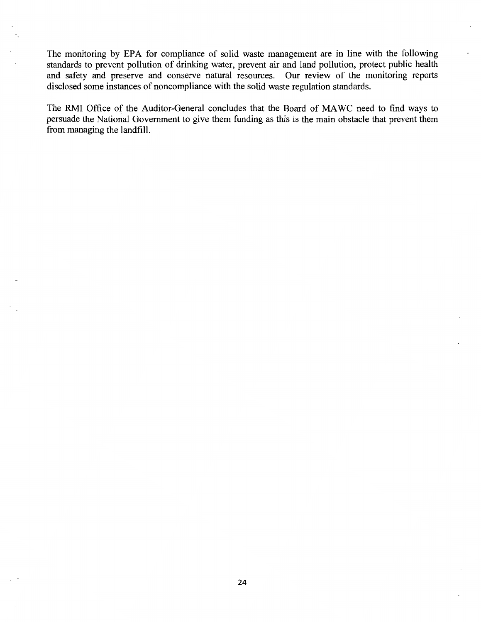The monitoring by EPA for compliance of solid waste management are in line with the following standards to prevent pollution of drinking water, prevent air and land pollution, protect public health and safety and preserve and conserve natural resources. Our review of the monitoring reports disclosed some instances of noncompliance with the solid waste regulation standards.

The RMI Office of the Auditor-General concludes that the Board of MA WC need to find ways to persuade the National Government to give them funding as this is the main obstacle that prevent them from managing the landfill.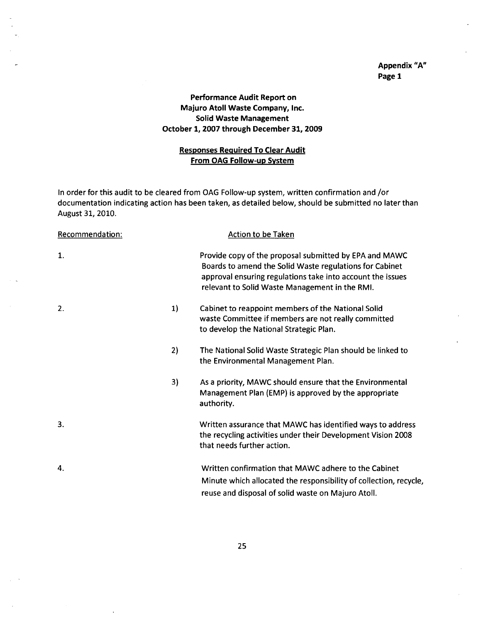#### Appendix "A" Page 1

#### Performance Audit Report on Majuro Atoll Waste Company, Inc. Solid Waste Management October 1, 2007 through December 31, 2009

#### Responses Required To Clear Audit From OAG Follow-up System

In order for this audit to be cleared from OAG Follow-up system, written confirmation and /or documentation indicating action has been taken, as detailed below, should be submitted no later than August 31, 2010.

| Recommendation: |    | <b>Action to be Taken</b>                                                                                                                                                                                                         |
|-----------------|----|-----------------------------------------------------------------------------------------------------------------------------------------------------------------------------------------------------------------------------------|
| $\mathbf{1}$ .  |    | Provide copy of the proposal submitted by EPA and MAWC<br>Boards to amend the Solid Waste regulations for Cabinet<br>approval ensuring regulations take into account the issues<br>relevant to Solid Waste Management in the RMI. |
| 2.              | 1) | Cabinet to reappoint members of the National Solid<br>waste Committee if members are not really committed<br>to develop the National Strategic Plan.                                                                              |
|                 | 2) | The National Solid Waste Strategic Plan should be linked to<br>the Environmental Management Plan.                                                                                                                                 |
|                 | 3) | As a priority, MAWC should ensure that the Environmental<br>Management Plan (EMP) is approved by the appropriate<br>authority.                                                                                                    |
| 3.              |    | Written assurance that MAWC has identified ways to address<br>the recycling activities under their Development Vision 2008<br>that needs further action.                                                                          |
| 4.              |    | Written confirmation that MAWC adhere to the Cabinet<br>Minute which allocated the responsibility of collection, recycle,<br>reuse and disposal of solid waste on Majuro Atoll.                                                   |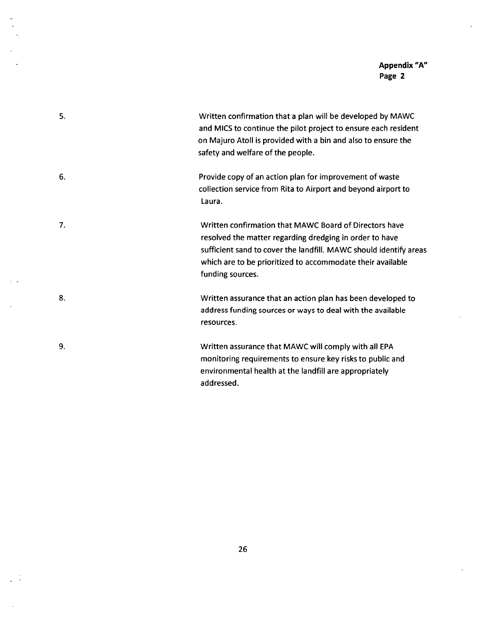#### **Appendix "A" Page 2**

 $\bar{\star}$ 

| 5. | Written confirmation that a plan will be developed by MAWC<br>and MICS to continue the pilot project to ensure each resident<br>on Majuro Atoll is provided with a bin and also to ensure the<br>safety and welfare of the people.                                       |
|----|--------------------------------------------------------------------------------------------------------------------------------------------------------------------------------------------------------------------------------------------------------------------------|
| 6. | Provide copy of an action plan for improvement of waste<br>collection service from Rita to Airport and beyond airport to<br>Laura.                                                                                                                                       |
| 7. | Written confirmation that MAWC Board of Directors have<br>resolved the matter regarding dredging in order to have<br>sufficient sand to cover the landfill. MAWC should identify areas<br>which are to be prioritized to accommodate their available<br>funding sources. |
| 8. | Written assurance that an action plan has been developed to<br>address funding sources or ways to deal with the available<br>resources.                                                                                                                                  |
| 9. | Written assurance that MAWC will comply with all EPA<br>monitoring requirements to ensure key risks to public and<br>environmental health at the landfill are appropriately<br>addressed.                                                                                |

 $\ddot{\phantom{0}}$